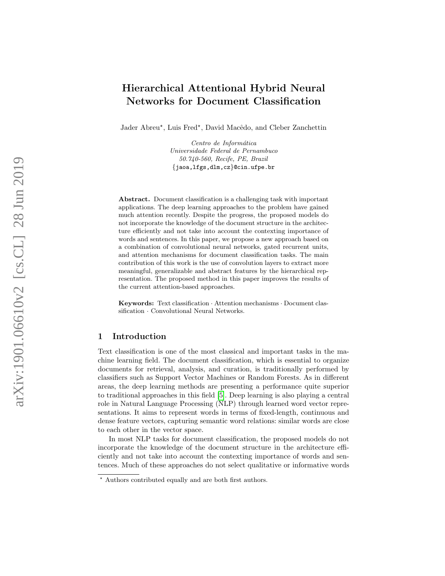# Hierarchical Attentional Hybrid Neural Networks for Document Classification

Jader Abreu\*, Luis Fred\*, David Macêdo, and Cleber Zanchettin

Centro de Informática Universidade Federal de Pernambuco 50.740-560, Recife, PE, Brazil {jaoa,lfgs,dlm,cz }@cin.ufpe.br

Abstract. Document classification is a challenging task with important applications. The deep learning approaches to the problem have gained much attention recently. Despite the progress, the proposed models do not incorporate the knowledge of the document structure in the architecture efficiently and not take into account the contexting importance of words and sentences. In this paper, we propose a new approach based on a combination of convolutional neural networks, gated recurrent units, and attention mechanisms for document classification tasks. The main contribution of this work is the use of convolution layers to extract more meaningful, generalizable and abstract features by the hierarchical representation. The proposed method in this paper improves the results of the current attention-based approaches.

Keywords: Text classification · Attention mechanisms · Document classification · Convolutional Neural Networks.

# 1 Introduction

Text classification is one of the most classical and important tasks in the machine learning field. The document classification, which is essential to organize documents for retrieval, analysis, and curation, is traditionally performed by classifiers such as Support Vector Machines or Random Forests. As in different areas, the deep learning methods are presenting a performance quite superior to traditional approaches in this field [\[5\]](#page-5-0). Deep learning is also playing a central role in Natural Language Processing (NLP) through learned word vector representations. It aims to represent words in terms of fixed-length, continuous and dense feature vectors, capturing semantic word relations: similar words are close to each other in the vector space.

In most NLP tasks for document classification, the proposed models do not incorporate the knowledge of the document structure in the architecture efficiently and not take into account the contexting importance of words and sentences. Much of these approaches do not select qualitative or informative words

<sup>?</sup> Authors contributed equally and are both first authors.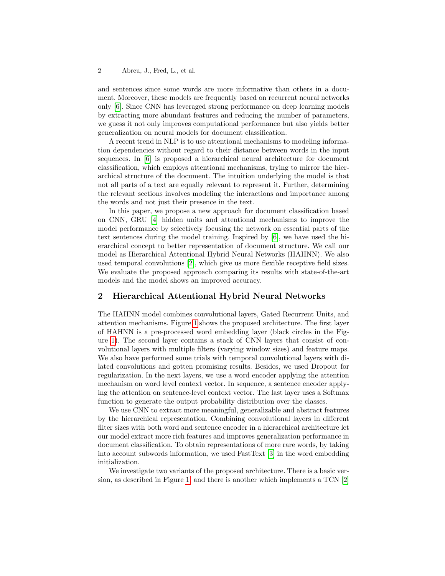#### 2 Abreu, J., Fred, L., et al.

and sentences since some words are more informative than others in a document. Moreover, these models are frequently based on recurrent neural networks only [\[6\]](#page-5-1). Since CNN has leveraged strong performance on deep learning models by extracting more abundant features and reducing the number of parameters, we guess it not only improves computational performance but also yields better generalization on neural models for document classification.

A recent trend in NLP is to use attentional mechanisms to modeling information dependencies without regard to their distance between words in the input sequences. In [\[6\]](#page-5-1) is proposed a hierarchical neural architecture for document classification, which employs attentional mechanisms, trying to mirror the hierarchical structure of the document. The intuition underlying the model is that not all parts of a text are equally relevant to represent it. Further, determining the relevant sections involves modeling the interactions and importance among the words and not just their presence in the text.

In this paper, we propose a new approach for document classification based on CNN, GRU [\[4\]](#page-5-2) hidden units and attentional mechanisms to improve the model performance by selectively focusing the network on essential parts of the text sentences during the model training. Inspired by [\[6\]](#page-5-1), we have used the hierarchical concept to better representation of document structure. We call our model as Hierarchical Attentional Hybrid Neural Networks (HAHNN). We also used temporal convolutions [\[2\]](#page-5-3), which give us more flexible receptive field sizes. We evaluate the proposed approach comparing its results with state-of-the-art models and the model shows an improved accuracy.

# 2 Hierarchical Attentional Hybrid Neural Networks

The HAHNN model combines convolutional layers, Gated Recurrent Units, and attention mechanisms. Figure [1](#page-2-0) shows the proposed architecture. The first layer of HAHNN is a pre-processed word embedding layer (black circles in the Figure [1\)](#page-2-0). The second layer contains a stack of CNN layers that consist of convolutional layers with multiple filters (varying window sizes) and feature maps. We also have performed some trials with temporal convolutional layers with dilated convolutions and gotten promising results. Besides, we used Dropout for regularization. In the next layers, we use a word encoder applying the attention mechanism on word level context vector. In sequence, a sentence encoder applying the attention on sentence-level context vector. The last layer uses a Softmax function to generate the output probability distribution over the classes.

We use CNN to extract more meaningful, generalizable and abstract features by the hierarchical representation. Combining convolutional layers in different filter sizes with both word and sentence encoder in a hierarchical architecture let our model extract more rich features and improves generalization performance in document classification. To obtain representations of more rare words, by taking into account subwords information, we used FastText [\[3\]](#page-5-4) in the word embedding initialization.

We investigate two variants of the proposed architecture. There is a basic version, as described in Figure [1,](#page-2-0) and there is another which implements a TCN [\[2\]](#page-5-3)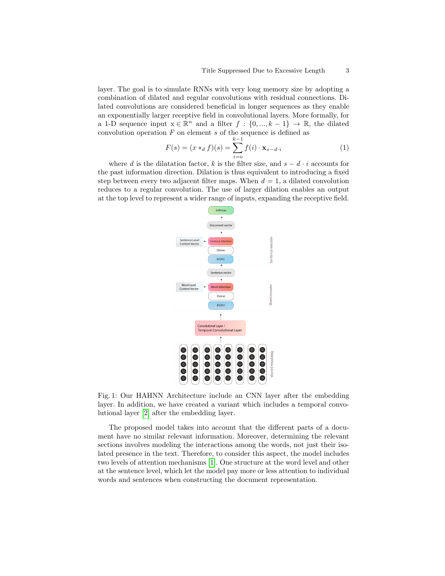layer. The goal is to simulate RNNs with very long memory size by adopting a combination of dilated and regular convolutions with residual connections. Dilated convolutions are considered beneficial in longer sequences as they enable an exponentially larger receptive field in convolutional layers. More formally, for a 1-D sequence input  $x \in \mathbb{R}^n$  and a filter  $f : \{0, ..., k-1\} \to \mathbb{R}$ , the dilated convolution operation  $F$  on element  $s$  of the sequence is defined as

$$
F(s) = (x *_{d} f)(s) = \sum_{i=0}^{k-1} f(i) \cdot \mathbf{x}_{s-d \cdot i}
$$
 (1)

<span id="page-2-0"></span>where d is the dilatation factor, k is the filter size, and  $s - d \cdot i$  accounts for the past information direction. Dilation is thus equivalent to introducing a fixed step between every two adjacent filter maps. When  $d = 1$ , a dilated convolution reduces to a regular convolution. The use of larger dilation enables an output at the top level to represent a wider range of inputs, expanding the receptive field.



Fig. 1: Our HAHNN Architecture include an CNN layer after the embedding layer. In addition, we have created a variant which includes a temporal convolutional layer [\[2\]](#page-5-3) after the embedding layer.

The proposed model takes into account that the different parts of a document have no similar relevant information. Moreover, determining the relevant sections involves modeling the interactions among the words, not just their isolated presence in the text. Therefore, to consider this aspect, the model includes two levels of attention mechanisms [\[1\]](#page-5-5). One structure at the word level and other at the sentence level, which let the model pay more or less attention to individual words and sentences when constructing the document representation.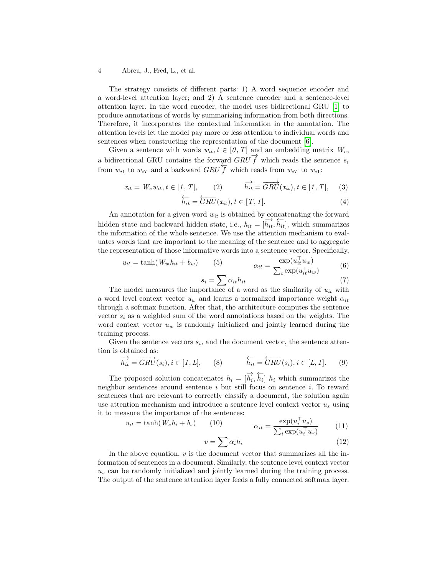#### 4 Abreu, J., Fred, L., et al.

The strategy consists of different parts: 1) A word sequence encoder and a word-level attention layer; and 2) A sentence encoder and a sentence-level attention layer. In the word encoder, the model uses bidirectional GRU [\[1\]](#page-5-5) to produce annotations of words by summarizing information from both directions. Therefore, it incorporates the contextual information in the annotation. The attention levels let the model pay more or less attention to individual words and sentences when constructing the representation of the document [\[6\]](#page-5-1).

Given a sentence with words  $w_{it}$ ,  $t \in [0, T]$  and an embedding matrix  $W_e$ , a bidirectional GRU contains the forward  $GRU\vec{f}$  which reads the sentence  $s_i$ from  $w_{i1}$  to  $w_{iT}$  and a backward  $GRU \overleftarrow{f}$  which reads from  $w_{iT}$  to  $w_{i1}$ :

$$
x_{it} = W_e w_{it}, t \in [1, T], \qquad (2) \qquad \overrightarrow{h_{it}} = \overrightarrow{GRU}(x_{it}), t \in [1, T], \qquad (3)
$$

$$
\overleftarrow{h_{it}} = \overleftarrow{GRU}(x_{it}), t \in [T, 1]. \tag{4}
$$

An annotation for a given word  $w_{it}$  is obtained by concatenating the forward hidden state and backward hidden state, i.e.,  $h_{it} = [\overrightarrow{h_{it}}, \overrightarrow{h_{it}}]$ , which summarizes the information of the whole sentence. We use the attention mechanism to evaluates words that are important to the meaning of the sentence and to aggregate the representation of those informative words into a sentence vector. Specifically,

$$
u_{it} = \tanh(W_w h_{it} + b_w) \qquad (5) \qquad \alpha_{it} = \frac{\exp(u_{it}^\top u_w)}{\sum_t \exp(u_{it}^\top u_w)} \qquad (6)
$$

$$
s_i = \sum \alpha_{it} h_{it}
$$
\n(7)

The model measures the importance of a word as the similarity of  $u_{it}$  with a word level context vector  $u_w$  and learns a normalized importance weight  $\alpha_{it}$ through a softmax function. After that, the architecture computes the sentence vector  $s_i$  as a weighted sum of the word annotations based on the weights. The word context vector  $u_w$  is randomly initialized and jointly learned during the training process.

Given the sentence vectors  $s_i$ , and the document vector, the sentence attention is obtained as:

$$
\overrightarrow{h_{it}} = \overrightarrow{GRU}(s_i), i \in [1, L], \qquad (8) \qquad \overleftarrow{h_{it}} = \overleftarrow{GRU}(s_i), i \in [L, 1]. \qquad (9)
$$

The proposed solution concatenates  $h_i = [\overrightarrow{h_i}, \overleftarrow{h_i}] h_i$  which summarizes the neighbor sentences around sentence  $i$  but still focus on sentence  $i$ . To reward sentences that are relevant to correctly classify a document, the solution again use attention mechanism and introduce a sentence level context vector  $u_s$  using it to measure the importance of the sentences:

$$
u_{it} = \tanh(W_s h_i + b_s) \qquad (10) \qquad \alpha_{it} = \frac{\exp(u_i^{\top} u_s)}{\sum_i \exp(u_i^{\top} u_s)} \qquad (11)
$$

$$
v = \sum \alpha_i h_i \tag{12}
$$

In the above equation,  $v$  is the document vector that summarizes all the information of sentences in a document. Similarly, the sentence level context vector  $u<sub>s</sub>$  can be randomly initialized and jointly learned during the training process. The output of the sentence attention layer feeds a fully connected softmax layer.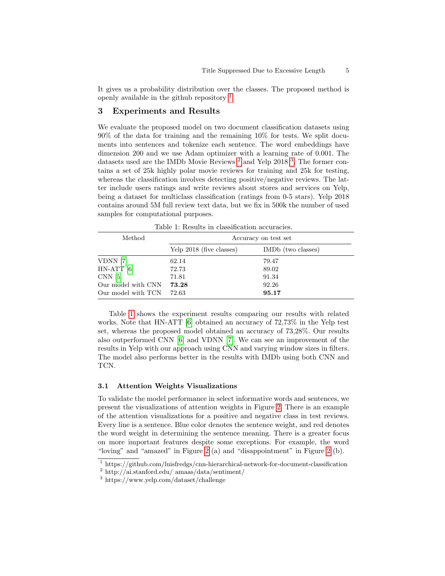It gives us a probability distribution over the classes. The proposed method is openly available in the github repository  $<sup>1</sup>$  $<sup>1</sup>$  $<sup>1</sup>$ .</sup>

### 3 Experiments and Results

We evaluate the proposed model on two document classification datasets using 90% of the data for training and the remaining 10% for tests. We split documents into sentences and tokenize each sentence. The word embeddings have dimension 200 and we use Adam optimizer with a learning rate of 0.001. The datasets used are the IMDb Movie Reviews<sup>[2](#page-4-1)</sup> and Yelp 2018<sup>[3](#page-4-2)</sup>. The former contains a set of 25k highly polar movie reviews for training and 25k for testing, whereas the classification involves detecting positive/negative reviews. The latter include users ratings and write reviews about stores and services on Yelp, being a dataset for multiclass classification (ratings from 0-5 stars). Yelp 2018 contains around 5M full review text data, but we fix in 500k the number of used samples for computational purposes.

<span id="page-4-3"></span>Method Accuracy on test set Yelp 2018 (five classes) IMDb (two classes) VDNN [\[7\]](#page-5-6) 62.14 79.47 HN-ATT [\[6\]](#page-5-1) 72.73 89.02 CNN [\[5\]](#page-5-0) 71.81 91.34 Our model with CNN 73.28 92.26

Table 1: Results in classification accuracies.

Table [1](#page-4-3) shows the experiment results comparing our results with related works. Note that HN-ATT [\[6\]](#page-5-1) obtained an accuracy of 72,73% in the Yelp test set, whereas the proposed model obtained an accuracy of 73,28%. Our results also outperformed CNN [\[6\]](#page-5-1) and VDNN [\[7\]](#page-5-6). We can see an improvement of the results in Yelp with our approach using CNN and varying window sizes in filters. The model also performs better in the results with IMDb using both CNN and TCN.

#### 3.1 Attention Weights Visualizations

Our model with TCN 72.63 95.17

To validate the model performance in select informative words and sentences, we present the visualizations of attention weights in Figure [2.](#page-5-7) There is an example of the attention visualizations for a positive and negative class in test reviews. Every line is a sentence. Blue color denotes the sentence weight, and red denotes the word weight in determining the sentence meaning. There is a greater focus on more important features despite some exceptions. For example, the word "loving" and "amazed" in Figure [2](#page-5-7) (a) and "disappointment" in Figure [2](#page-5-7) (b).

<span id="page-4-0"></span><sup>1</sup> https://github.com/luisfredgs/cnn-hierarchical-network-for-document-classification

<span id="page-4-1"></span><sup>2</sup> http://ai.stanford.edu/ amaas/data/sentiment/

<span id="page-4-2"></span><sup>3</sup> https://www.yelp.com/dataset/challenge